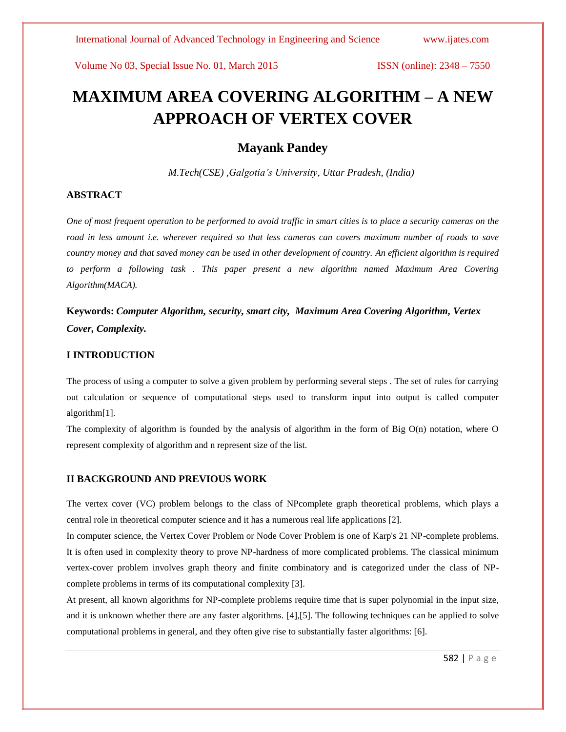# **MAXIMUM AREA COVERING ALGORITHM – A NEW APPROACH OF VERTEX COVER**

### **Mayank Pandey**

 *M.Tech(CSE) ,Galgotia's University, Uttar Pradesh, (India)*

#### **ABSTRACT**

*One of most frequent operation to be performed to avoid traffic in smart cities is to place a security cameras on the road in less amount i.e. wherever required so that less cameras can covers maximum number of roads to save country money and that saved money can be used in other development of country. An efficient algorithm is required*  to perform a following task . This paper present a new algorithm named Maximum Area Covering *Algorithm(MACA).*

**Keywords:** *Computer Algorithm, security, smart city, Maximum Area Covering Algorithm, Vertex Cover, Complexity.*

#### **I INTRODUCTION**

The process of using a computer to solve a given problem by performing several steps . The set of rules for carrying out calculation or sequence of computational steps used to transform input into output is called computer algorithm[1].

The complexity of algorithm is founded by the analysis of algorithm in the form of Big  $O(n)$  notation, where  $O$ represent complexity of algorithm and n represent size of the list.

#### **II BACKGROUND AND PREVIOUS WORK**

The vertex cover (VC) problem belongs to the class of NPcomplete graph theoretical problems, which plays a central role in theoretical computer science and it has a numerous real life applications [2].

In computer science, the Vertex Cover Problem or Node Cover Problem is one of Karp's 21 NP-complete problems. It is often used in complexity theory to prove NP-hardness of more complicated problems. The classical minimum vertex-cover problem involves graph theory and finite combinatory and is categorized under the class of NPcomplete problems in terms of its computational complexity [3].

At present, all known algorithms for NP-complete problems require time that is super polynomial in the input size, and it is unknown whether there are any faster algorithms. [4],[5]. The following techniques can be applied to solve computational problems in general, and they often give rise to substantially faster algorithms: [6].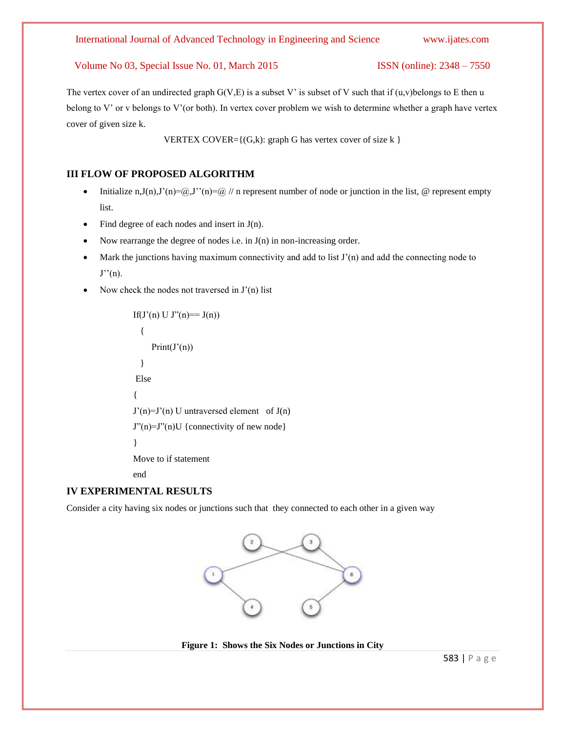The vertex cover of an undirected graph  $G(V, E)$  is a subset V' is subset of V such that if  $(u, v)$  belongs to E then u belong to V' or v belongs to V'(or both). In vertex cover problem we wish to determine whether a graph have vertex cover of given size k.

VERTEX COVER= $\{(G,k): \text{graph } G \text{ has vertex cover of size } k \}$ 

#### **III FLOW OF PROPOSED ALGORITHM**

- ightlifive initialize n,J(n),J'(n)= $\overline{a}$ ,J''(n)= $\overline{a}$  // n represent number of node or junction in the list,  $\overline{a}$  represent empty list.
- Find degree of each nodes and insert in  $J(n)$ .
- Now rearrange the degree of nodes i.e. in J(n) in non-increasing order.
- $\bullet$  Mark the junctions having maximum connectivity and add to list  $J'(n)$  and add the connecting node to  $J''(n)$ .
- Now check the nodes not traversed in J'(n) list

```
If(J'(n) U J''(n) == J(n))
   {
     Print(J(n)) }
Else
{
J'(n)=J'(n) U untraversed element of J(n)J''(n)=J''(n)U {connectivity of new node}
}
Move to if statement
end
```
#### **IV EXPERIMENTAL RESULTS**

Consider a city having six nodes or junctions such that they connected to each other in a given way



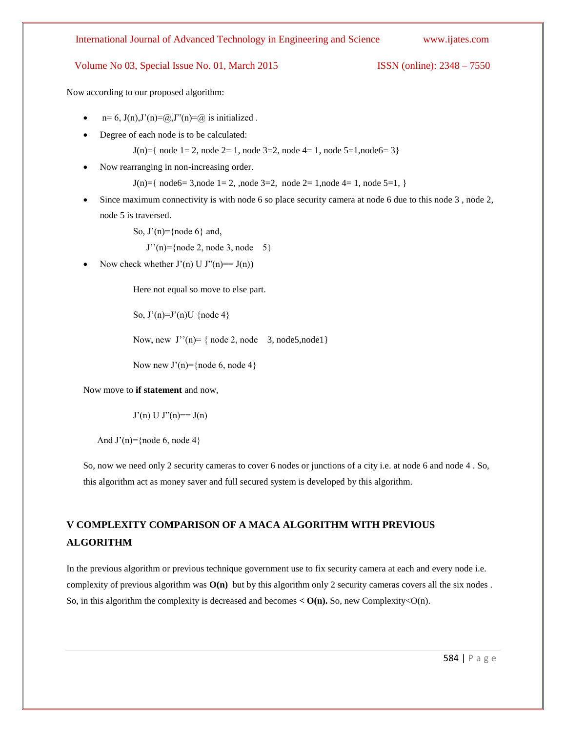Now according to our proposed algorithm:

- $n= 6$ ,  $J(n)$ , $J'(n) = (a)$ , $J''(n) = (a)$  is initialized.
- Degree of each node is to be calculated:

 $J(n)=\{$  node 1 = 2, node 2 = 1, node 3 = 2, node 4 = 1, node 5 = 1, node 6 = 3 $\}$ 

Now rearranging in non-increasing order.

 $J(n)=\{$  node6= 3,node 1= 2, ,node 3=2, node 2= 1,node 4= 1, node 5=1,  $\}$ 

 Since maximum connectivity is with node 6 so place security camera at node 6 due to this node 3 , node 2, node 5 is traversed.

So,  $J'(n)$ ={node 6} and,

 $J''(n) = \{node 2, node 3, node 5\}$ 

Now check whether  $J'(n) U J''(n) == J(n)$ 

Here not equal so move to else part.

So,  $J'(n)=J'(n)U \{node 4\}$ 

Now, new  $J''(n) = \{ node 2, node 3, node 5, node1 \}$ 

Now new  $J'(n)=\{node 6, node 4\}$ 

Now move to **if statement** and now,

 $J'(n) U J''(n) = J(n)$ 

And  $J'(n)$ ={node 6, node 4}

So, now we need only 2 security cameras to cover 6 nodes or junctions of a city i.e. at node 6 and node 4 . So, this algorithm act as money saver and full secured system is developed by this algorithm.

## **V COMPLEXITY COMPARISON OF A MACA ALGORITHM WITH PREVIOUS ALGORITHM**

In the previous algorithm or previous technique government use to fix security camera at each and every node i.e. complexity of previous algorithm was **O(n)** but by this algorithm only 2 security cameras covers all the six nodes . So, in this algorithm the complexity is decreased and becomes  $\langle O(n)$ . So, new Complexity $\langle O(n) \rangle$ .